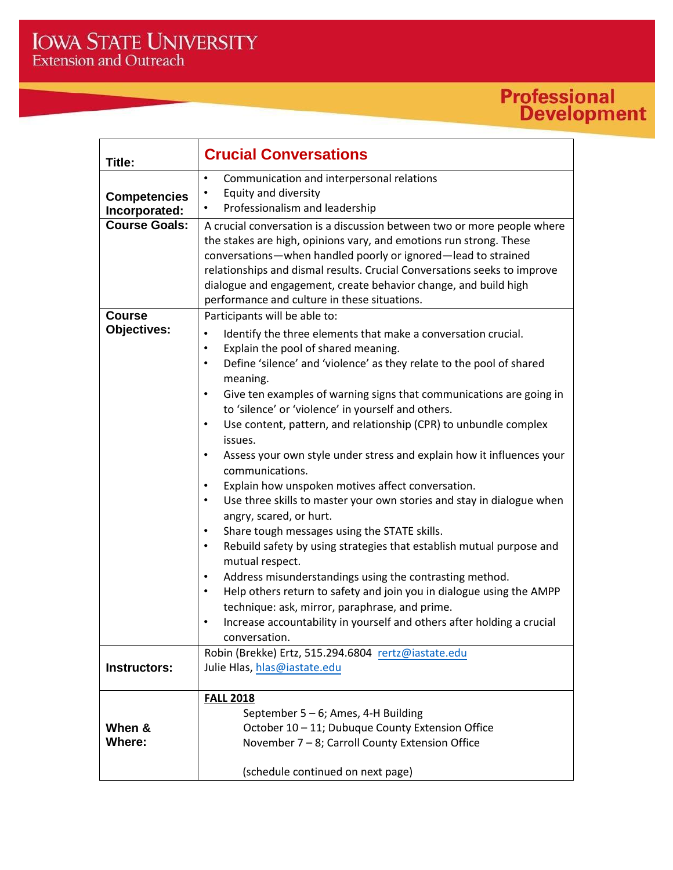## **Professional**<br>Development

| Title:               | <b>Crucial Conversations</b>                                                                                                                                                                                                                                                                                                                                                                                  |
|----------------------|---------------------------------------------------------------------------------------------------------------------------------------------------------------------------------------------------------------------------------------------------------------------------------------------------------------------------------------------------------------------------------------------------------------|
| <b>Competencies</b>  | Communication and interpersonal relations<br>٠<br>Equity and diversity<br>$\bullet$<br>Professionalism and leadership                                                                                                                                                                                                                                                                                         |
| Incorporated:        |                                                                                                                                                                                                                                                                                                                                                                                                               |
| <b>Course Goals:</b> | A crucial conversation is a discussion between two or more people where<br>the stakes are high, opinions vary, and emotions run strong. These<br>conversations-when handled poorly or ignored-lead to strained<br>relationships and dismal results. Crucial Conversations seeks to improve<br>dialogue and engagement, create behavior change, and build high<br>performance and culture in these situations. |
| <b>Course</b>        | Participants will be able to:                                                                                                                                                                                                                                                                                                                                                                                 |
| <b>Objectives:</b>   | Identify the three elements that make a conversation crucial.<br>Explain the pool of shared meaning.<br>$\bullet$<br>Define 'silence' and 'violence' as they relate to the pool of shared<br>$\bullet$<br>meaning.                                                                                                                                                                                            |
|                      | Give ten examples of warning signs that communications are going in<br>$\bullet$<br>to 'silence' or 'violence' in yourself and others.                                                                                                                                                                                                                                                                        |
|                      | Use content, pattern, and relationship (CPR) to unbundle complex<br>$\bullet$<br>issues.                                                                                                                                                                                                                                                                                                                      |
|                      | Assess your own style under stress and explain how it influences your<br>٠<br>communications.                                                                                                                                                                                                                                                                                                                 |
|                      | Explain how unspoken motives affect conversation.                                                                                                                                                                                                                                                                                                                                                             |
|                      | Use three skills to master your own stories and stay in dialogue when<br>$\bullet$<br>angry, scared, or hurt.                                                                                                                                                                                                                                                                                                 |
|                      | Share tough messages using the STATE skills.                                                                                                                                                                                                                                                                                                                                                                  |
|                      | Rebuild safety by using strategies that establish mutual purpose and<br>$\bullet$<br>mutual respect.                                                                                                                                                                                                                                                                                                          |
|                      | Address misunderstandings using the contrasting method.<br>Help others return to safety and join you in dialogue using the AMPP<br>$\bullet$<br>technique: ask, mirror, paraphrase, and prime.<br>Increase accountability in yourself and others after holding a crucial<br>$\bullet$                                                                                                                         |
|                      | conversation.                                                                                                                                                                                                                                                                                                                                                                                                 |
| Instructors:         | Robin (Brekke) Ertz, 515.294.6804 rertz@iastate.edu<br>Julie Hlas, hlas@iastate.edu                                                                                                                                                                                                                                                                                                                           |
| When &<br>Where:     | <b>FALL 2018</b><br>September 5 - 6; Ames, 4-H Building<br>October 10 - 11; Dubuque County Extension Office<br>November 7 - 8; Carroll County Extension Office<br>(schedule continued on next page)                                                                                                                                                                                                           |